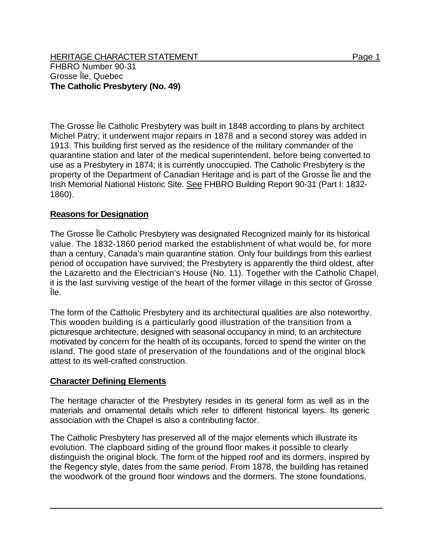HERITAGE CHARACTER STATEMENT FRIELD FOR A STATEMENT AND RAGE 1 FHBRO Number 90-31 Grosse Île, Quebec **The Catholic Presbytery (No. 49)** 

The Grosse Île Catholic Presbytery was built in 1848 according to plans by architect Michel Patry; it underwent major repairs in 1878 and a second storey was added in 1913. This building first served as the residence of the military commander of the quarantine station and later of the medical superintendent, before being converted to use as a Presbytery in 1874; it is currently unoccupied. The Catholic Presbytery is the property of the Department of Canadian Heritage and is part of the Grosse Île and the Irish Memorial National Historic Site. See FHBRO Building Report 90-31 (Part I: 1832- 1860).

## **Reasons for Designation**

The Grosse Île Catholic Presbytery was designated Recognized mainly for its historical value. The 1832-1860 period marked the establishment of what would be, for more than a century, Canada's main quarantine station. Only four buildings from this earliest period of occupation have survived; the Presbytery is apparently the third oldest, after the Lazaretto and the Electrician's House (No. 11). Together with the Catholic Chapel, it is the last surviving vestige of the heart of the former village in this sector of Grosse Île.

The form of the Catholic Presbytery and its architectural qualities are also noteworthy. This wooden building is a particularly good illustration of the transition from a picturesque architecture, designed with seasonal occupancy in mind, to an architecture motivated by concern for the health of its occupants, forced to spend the winter on the island. The good state of preservation of the foundations and of the original block attest to its well-crafted construction.

## **Character Defining Elements**

The heritage character of the Presbytery resides in its general form as well as in the materials and ornamental details which refer to different historical layers. Its generic association with the Chapel is also a contributing factor.

The Catholic Presbytery has preserved all of the major elements which illustrate its evolution. The clapboard siding of the ground floor makes it possible to clearly distinguish the original block. The form of the hipped roof and its dormers, inspired by the Regency style, dates from the same period. From 1878, the building has retained the woodwork of the ground floor windows and the dormers. The stone foundations,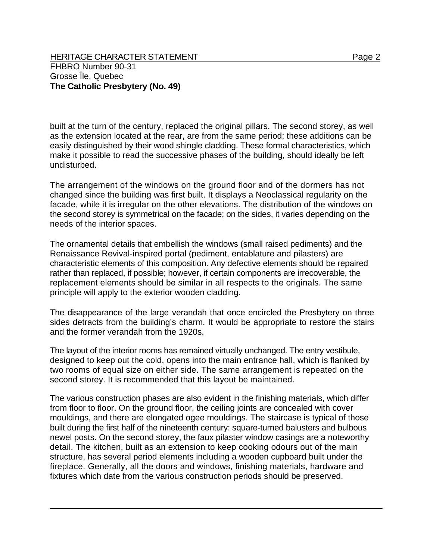built at the turn of the century, replaced the original pillars. The second storey, as well as the extension located at the rear, are from the same period; these additions can be easily distinguished by their wood shingle cladding. These formal characteristics, which make it possible to read the successive phases of the building, should ideally be left undisturbed.

The arrangement of the windows on the ground floor and of the dormers has not changed since the building was first built. It displays a Neoclassical regularity on the facade, while it is irregular on the other elevations. The distribution of the windows on the second storey is symmetrical on the facade; on the sides, it varies depending on the needs of the interior spaces.

The ornamental details that embellish the windows (small raised pediments) and the Renaissance Revival-inspired portal (pediment, entablature and pilasters) are characteristic elements of this composition. Any defective elements should be repaired rather than replaced, if possible; however, if certain components are irrecoverable, the replacement elements should be similar in all respects to the originals. The same principle will apply to the exterior wooden cladding.

The disappearance of the large verandah that once encircled the Presbytery on three sides detracts from the building's charm. It would be appropriate to restore the stairs and the former verandah from the 1920s.

The layout of the interior rooms has remained virtually unchanged. The entry vestibule, designed to keep out the cold, opens into the main entrance hall, which is flanked by two rooms of equal size on either side. The same arrangement is repeated on the second storey. It is recommended that this layout be maintained.

The various construction phases are also evident in the finishing materials, which differ from floor to floor. On the ground floor, the ceiling joints are concealed with cover mouldings, and there are elongated ogee mouldings. The staircase is typical of those built during the first half of the nineteenth century: square-turned balusters and bulbous newel posts. On the second storey, the faux pilaster window casings are a noteworthy detail. The kitchen, built as an extension to keep cooking odours out of the main structure, has several period elements including a wooden cupboard built under the fireplace. Generally, all the doors and windows, finishing materials, hardware and fixtures which date from the various construction periods should be preserved.